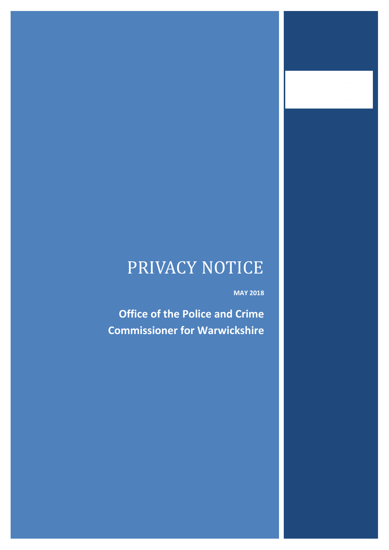# PRIVACY NOTICE

**MAY 2018**

**Office of the Police and Crime Commissioner for Warwickshire**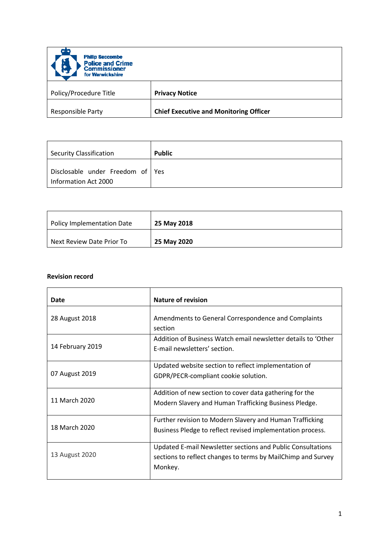| <b>Philip Seccombe</b><br>H<br><b>Police and Crime</b><br><b>Commissioner</b><br>for Warwickshire |                                               |
|---------------------------------------------------------------------------------------------------|-----------------------------------------------|
| Policy/Procedure Title                                                                            | <b>Privacy Notice</b>                         |
| <b>Responsible Party</b>                                                                          | <b>Chief Executive and Monitoring Officer</b> |

| Security Classification                                  | <b>Public</b> |
|----------------------------------------------------------|---------------|
| Disclosable under Freedom of Yes<br>Information Act 2000 |               |

| <b>Policy Implementation Date</b> | 25 May 2018 |
|-----------------------------------|-------------|
| Next Review Date Prior To         | 25 May 2020 |

# **Revision record**

| Date             | <b>Nature of revision</b>                                                                                                              |
|------------------|----------------------------------------------------------------------------------------------------------------------------------------|
| 28 August 2018   | Amendments to General Correspondence and Complaints<br>section                                                                         |
| 14 February 2019 | Addition of Business Watch email newsletter details to 'Other<br>E-mail newsletters' section.                                          |
| 07 August 2019   | Updated website section to reflect implementation of<br>GDPR/PECR-compliant cookie solution.                                           |
| 11 March 2020    | Addition of new section to cover data gathering for the<br>Modern Slavery and Human Trafficking Business Pledge.                       |
| 18 March 2020    | Further revision to Modern Slavery and Human Trafficking<br>Business Pledge to reflect revised implementation process.                 |
| 13 August 2020   | Updated E-mail Newsletter sections and Public Consultations<br>sections to reflect changes to terms by MailChimp and Survey<br>Monkey. |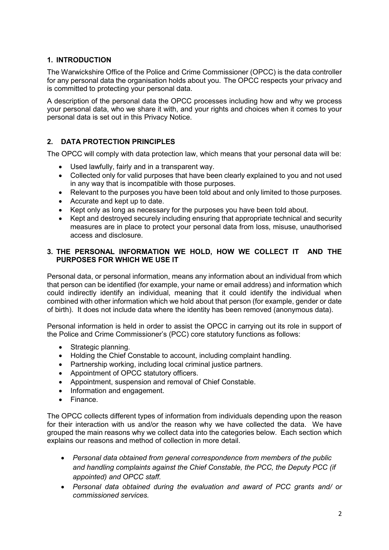## **1. INTRODUCTION**

The Warwickshire Office of the Police and Crime Commissioner (OPCC) is the data controller for any personal data the organisation holds about you. The OPCC respects your privacy and is committed to protecting your personal data.

A description of the personal data the OPCC processes including how and why we process your personal data, who we share it with, and your rights and choices when it comes to your personal data is set out in this Privacy Notice.

# **2. DATA PROTECTION PRINCIPLES**

The OPCC will comply with data protection law, which means that your personal data will be:

- Used lawfully, fairly and in a transparent way.
- Collected only for valid purposes that have been clearly explained to you and not used in any way that is incompatible with those purposes.
- Relevant to the purposes you have been told about and only limited to those purposes.
- Accurate and kept up to date.
- Kept only as long as necessary for the purposes you have been told about.
- Kept and destroyed securely including ensuring that appropriate technical and security measures are in place to protect your personal data from loss, misuse, unauthorised access and disclosure.

#### **3. THE PERSONAL INFORMATION WE HOLD, HOW WE COLLECT IT AND THE PURPOSES FOR WHICH WE USE IT**

Personal data, or personal information, means any information about an individual from which that person can be identified (for example, your name or email address) and information which could indirectly identify an individual, meaning that it could identify the individual when combined with other information which we hold about that person (for example, gender or date of birth). It does not include data where the identity has been removed (anonymous data).

Personal information is held in order to assist the OPCC in carrying out its role in support of the Police and Crime Commissioner's (PCC) core statutory functions as follows:

- Strategic planning.
- Holding the Chief Constable to account, including complaint handling.
- Partnership working, including local criminal justice partners.
- Appointment of OPCC statutory officers.
- Appointment, suspension and removal of Chief Constable.
- Information and engagement.
- Finance.

The OPCC collects different types of information from individuals depending upon the reason for their interaction with us and/or the reason why we have collected the data. We have grouped the main reasons why we collect data into the categories below. Each section which explains our reasons and method of collection in more detail.

- *Personal data obtained from general correspondence from members of the public and handling complaints against the Chief Constable, the PCC, the Deputy PCC (if appointed) and OPCC staff.*
- *Personal data obtained during the evaluation and award of PCC grants and/ or commissioned services.*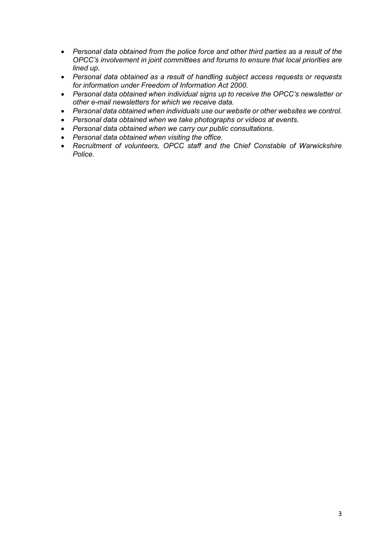- *Personal data obtained from the police force and other third parties as a result of the OPCC's involvement in joint committees and forums to ensure that local priorities are lined up.*
- *Personal data obtained as a result of handling subject access requests or requests for information under Freedom of Information Act 2000.*
- *Personal data obtained when individual signs up to receive the OPCC's newsletter or other e-mail newsletters for which we receive data.*
- *Personal data obtained when individuals use our website or other websites we control.*
- *Personal data obtained when we take photographs or videos at events.*
- *Personal data obtained when we carry our public consultations.*
- *Personal data obtained when visiting the office.*
- *Recruitment of volunteers, OPCC staff and the Chief Constable of Warwickshire Police.*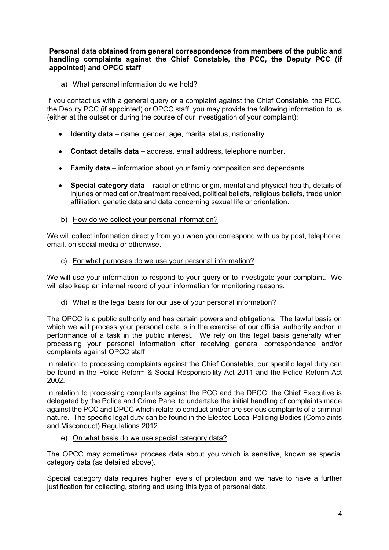#### **Personal data obtained from general correspondence from members of the public and handling complaints against the Chief Constable, the PCC, the Deputy PCC (if appointed) and OPCC staff**

a) What personal information do we hold?

If you contact us with a general query or a complaint against the Chief Constable, the PCC, the Deputy PCC (if appointed) or OPCC staff, you may provide the following information to us (either at the outset or during the course of our investigation of your complaint):

- **Identity data** name, gender, age, marital status, nationality.
- **Contact details data** address, email address, telephone number.
- **Family data** information about your family composition and dependants.
- **Special category data** racial or ethnic origin, mental and physical health, details of injuries or medication/treatment received, political beliefs, religious beliefs, trade union affiliation, genetic data and data concerning sexual life or orientation.
- b) How do we collect your personal information?

We will collect information directly from you when you correspond with us by post, telephone, email, on social media or otherwise.

c) For what purposes do we use your personal information?

We will use your information to respond to your query or to investigate your complaint. We will also keep an internal record of your information for monitoring reasons.

d) What is the legal basis for our use of your personal information?

The OPCC is a public authority and has certain powers and obligations. The lawful basis on which we will process your personal data is in the exercise of our official authority and/or in performance of a task in the public interest. We rely on this legal basis generally when processing your personal information after receiving general correspondence and/or complaints against OPCC staff.

In relation to processing complaints against the Chief Constable, our specific legal duty can be found in the Police Reform & Social Responsibility Act 2011 and the Police Reform Act 2002.

In relation to processing complaints against the PCC and the DPCC, the Chief Executive is delegated by the Police and Crime Panel to undertake the initial handling of complaints made against the PCC and DPCC which relate to conduct and/or are serious complaints of a criminal nature. The specific legal duty can be found in the Elected Local Policing Bodies (Complaints and Misconduct) Regulations 2012.

e) On what basis do we use special category data?

The OPCC may sometimes process data about you which is sensitive, known as special category data (as detailed above).

Special category data requires higher levels of protection and we have to have a further justification for collecting, storing and using this type of personal data.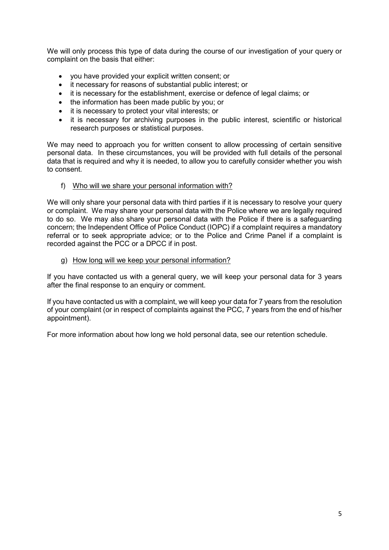We will only process this type of data during the course of our investigation of your query or complaint on the basis that either:

- you have provided your explicit written consent; or
- it necessary for reasons of substantial public interest; or
- it is necessary for the establishment, exercise or defence of legal claims; or
- the information has been made public by you; or
- it is necessary to protect your vital interests; or
- it is necessary for archiving purposes in the public interest, scientific or historical research purposes or statistical purposes.

We may need to approach you for written consent to allow processing of certain sensitive personal data. In these circumstances, you will be provided with full details of the personal data that is required and why it is needed, to allow you to carefully consider whether you wish to consent.

#### f) Who will we share your personal information with?

We will only share your personal data with third parties if it is necessary to resolve your query or complaint. We may share your personal data with the Police where we are legally required to do so. We may also share your personal data with the Police if there is a safeguarding concern; the Independent Office of Police Conduct (IOPC) if a complaint requires a mandatory referral or to seek appropriate advice; or to the Police and Crime Panel if a complaint is recorded against the PCC or a DPCC if in post.

g) How long will we keep your personal information?

If you have contacted us with a general query, we will keep your personal data for 3 years after the final response to an enquiry or comment.

If you have contacted us with a complaint, we will keep your data for 7 years from the resolution of your complaint (or in respect of complaints against the PCC, 7 years from the end of his/her appointment).

For more information about how long we hold personal data, see our retention schedule.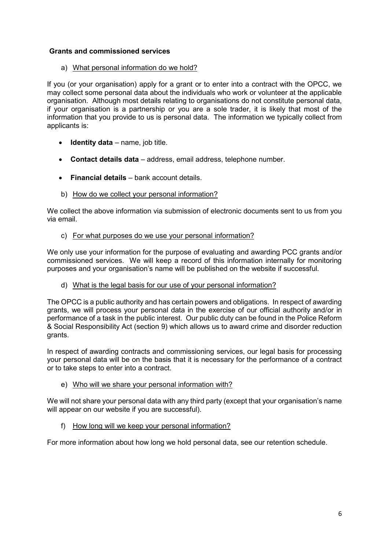## **Grants and commissioned services**

#### a) What personal information do we hold?

If you (or your organisation) apply for a grant or to enter into a contract with the OPCC, we may collect some personal data about the individuals who work or volunteer at the applicable organisation. Although most details relating to organisations do not constitute personal data, if your organisation is a partnership or you are a sole trader, it is likely that most of the information that you provide to us is personal data. The information we typically collect from applicants is:

- **Identity data** name, job title.
- **Contact details data** address, email address, telephone number.
- **Financial details** bank account details.
- b) How do we collect your personal information?

We collect the above information via submission of electronic documents sent to us from you via email.

c) For what purposes do we use your personal information?

We only use your information for the purpose of evaluating and awarding PCC grants and/or commissioned services. We will keep a record of this information internally for monitoring purposes and your organisation's name will be published on the website if successful.

d) What is the legal basis for our use of your personal information?

The OPCC is a public authority and has certain powers and obligations. In respect of awarding grants, we will process your personal data in the exercise of our official authority and/or in performance of a task in the public interest. Our public duty can be found in the Police Reform & Social Responsibility Act (section 9) which allows us to award crime and disorder reduction grants.

In respect of awarding contracts and commissioning services, our legal basis for processing your personal data will be on the basis that it is necessary for the performance of a contract or to take steps to enter into a contract.

e) Who will we share your personal information with?

We will not share your personal data with any third party (except that your organisation's name will appear on our website if you are successful).

f) How long will we keep your personal information?

For more information about how long we hold personal data, see our retention schedule.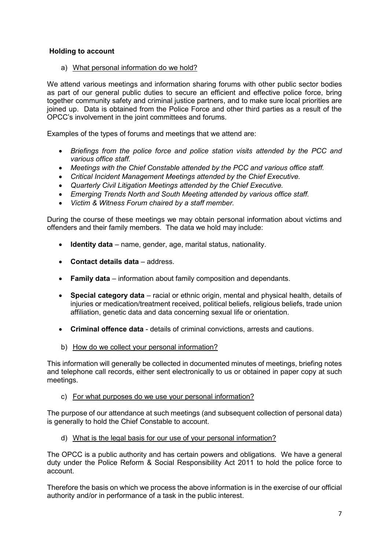#### **Holding to account**

a) What personal information do we hold?

We attend various meetings and information sharing forums with other public sector bodies as part of our general public duties to secure an efficient and effective police force, bring together community safety and criminal justice partners, and to make sure local priorities are joined up. Data is obtained from the Police Force and other third parties as a result of the OPCC's involvement in the joint committees and forums.

Examples of the types of forums and meetings that we attend are:

- *Briefings from the police force and police station visits attended by the PCC and various office staff.*
- *Meetings with the Chief Constable attended by the PCC and various office staff.*
- *Critical Incident Management Meetings attended by the Chief Executive.*
- *Quarterly Civil Litigation Meetings attended by the Chief Executive.*
- *Emerging Trends North and South Meeting attended by various office staff.*
- *Victim & Witness Forum chaired by a staff member.*

During the course of these meetings we may obtain personal information about victims and offenders and their family members. The data we hold may include:

- **Identity data**  name, gender, age, marital status, nationality.
- **Contact details data** address.
- **Family data** information about family composition and dependants.
- **Special category data** racial or ethnic origin, mental and physical health, details of injuries or medication/treatment received, political beliefs, religious beliefs, trade union affiliation, genetic data and data concerning sexual life or orientation.
- **Criminal offence data** details of criminal convictions, arrests and cautions.
- b) How do we collect your personal information?

This information will generally be collected in documented minutes of meetings, briefing notes and telephone call records, either sent electronically to us or obtained in paper copy at such meetings.

c) For what purposes do we use your personal information?

The purpose of our attendance at such meetings (and subsequent collection of personal data) is generally to hold the Chief Constable to account.

d) What is the legal basis for our use of your personal information?

The OPCC is a public authority and has certain powers and obligations. We have a general duty under the Police Reform & Social Responsibility Act 2011 to hold the police force to account.

Therefore the basis on which we process the above information is in the exercise of our official authority and/or in performance of a task in the public interest.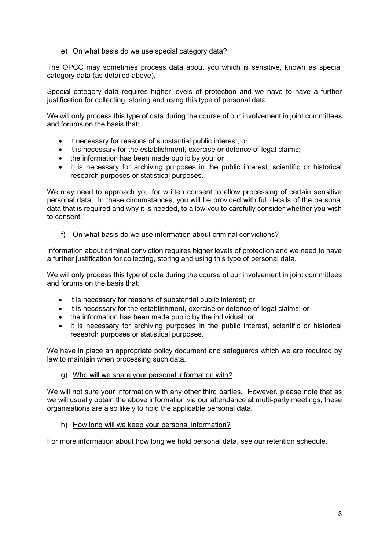#### e) On what basis do we use special category data?

The OPCC may sometimes process data about you which is sensitive, known as special category data (as detailed above).

Special category data requires higher levels of protection and we have to have a further justification for collecting, storing and using this type of personal data.

We will only process this type of data during the course of our involvement in joint committees and forums on the basis that:

- it necessary for reasons of substantial public interest; or
- it is necessary for the establishment, exercise or defence of legal claims;
- the information has been made public by you; or
- it is necessary for archiving purposes in the public interest, scientific or historical research purposes or statistical purposes.

We may need to approach you for written consent to allow processing of certain sensitive personal data. In these circumstances, you will be provided with full details of the personal data that is required and why it is needed, to allow you to carefully consider whether you wish to consent.

#### f) On what basis do we use information about criminal convictions?

Information about criminal conviction requires higher levels of protection and we need to have a further justification for collecting, storing and using this type of personal data.

We will only process this type of data during the course of our involvement in joint committees and forums on the basis that:

- it is necessary for reasons of substantial public interest; or
- it is necessary for the establishment, exercise or defence of legal claims; or
- the information has been made public by the individual; or
- it is necessary for archiving purposes in the public interest, scientific or historical research purposes or statistical purposes.

We have in place an appropriate policy document and safeguards which we are required by law to maintain when processing such data.

g) Who will we share your personal information with?

We will not sure your information with any other third parties. However, please note that as we will usually obtain the above information via our attendance at multi-party meetings, these organisations are also likely to hold the applicable personal data.

h) How long will we keep your personal information?

For more information about how long we hold personal data, see our retention schedule.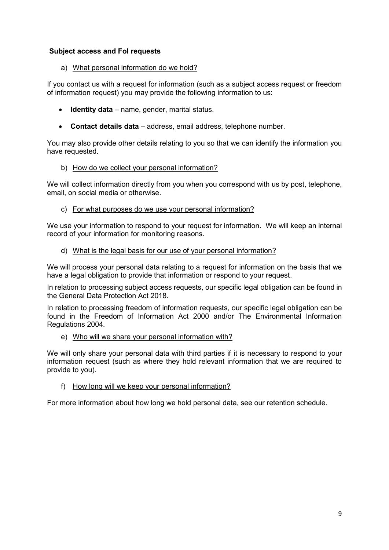#### **Subject access and FoI requests**

a) What personal information do we hold?

If you contact us with a request for information (such as a subject access request or freedom of information request) you may provide the following information to us:

- **Identity data** name, gender, marital status.
- **Contact details data** address, email address, telephone number.

You may also provide other details relating to you so that we can identify the information you have requested.

#### b) How do we collect your personal information?

We will collect information directly from you when you correspond with us by post, telephone, email, on social media or otherwise.

c) For what purposes do we use your personal information?

We use your information to respond to your request for information. We will keep an internal record of your information for monitoring reasons.

d) What is the legal basis for our use of your personal information?

We will process your personal data relating to a request for information on the basis that we have a legal obligation to provide that information or respond to your request.

In relation to processing subject access requests, our specific legal obligation can be found in the General Data Protection Act 2018.

In relation to processing freedom of information requests, our specific legal obligation can be found in the Freedom of Information Act 2000 and/or The Environmental Information Regulations 2004.

e) Who will we share your personal information with?

We will only share your personal data with third parties if it is necessary to respond to your information request (such as where they hold relevant information that we are required to provide to you).

f) How long will we keep your personal information?

For more information about how long we hold personal data, see our retention schedule.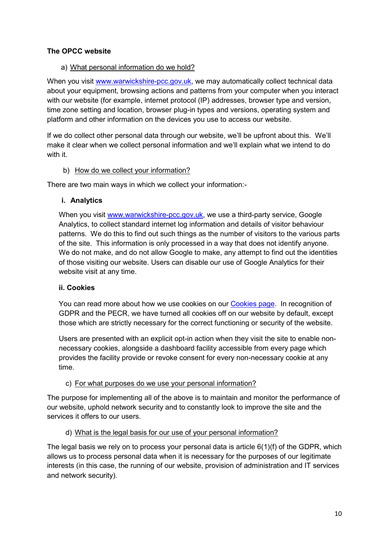## **The OPCC website**

## a) What personal information do we hold?

When you visit [www.warwickshire-pcc.gov.uk,](http://www.warwickshire-pcc.gov.uk/) we may automatically collect technical data about your equipment, browsing actions and patterns from your computer when you interact with our website (for example, internet protocol (IP) addresses, browser type and version, time zone setting and location, browser plug-in types and versions, operating system and platform and other information on the devices you use to access our website.

If we do collect other personal data through our website, we'll be upfront about this. We'll make it clear when we collect personal information and we'll explain what we intend to do with it.

## b) How do we collect your information?

There are two main ways in which we collect your information:-

# **i. Analytics**

When you visit [www.warwickshire-pcc.gov.uk,](http://www.warwickshire-pcc.gov.uk/) we use a third-party service, Google Analytics, to collect standard internet log information and details of visitor behaviour patterns. We do this to find out such things as the number of visitors to the various parts of the site. This information is only processed in a way that does not identify anyone. We do not make, and do not allow Google to make, any attempt to find out the identities of those visiting our website. Users can disable our use of Google Analytics for their website visit at any time.

## **ii. Cookies**

You can read more about how we use cookies on our [Cookies page.](https://www.warwickshire-pcc.gov.uk/policies/cookie-policy/) In recognition of GDPR and the PECR, we have turned all cookies off on our website by default, except those which are strictly necessary for the correct functioning or security of the website.

Users are presented with an explicit opt-in action when they visit the site to enable nonnecessary cookies, alongside a dashboard facility accessible from every page which provides the facility provide or revoke consent for every non-necessary cookie at any time.

## c) For what purposes do we use your personal information?

The purpose for implementing all of the above is to maintain and monitor the performance of our website, uphold network security and to constantly look to improve the site and the services it offers to our users.

# d) What is the legal basis for our use of your personal information?

The legal basis we rely on to process your personal data is article 6(1)(f) of the GDPR, which allows us to process personal data when it is necessary for the purposes of our legitimate interests (in this case, the running of our website, provision of administration and IT services and network security).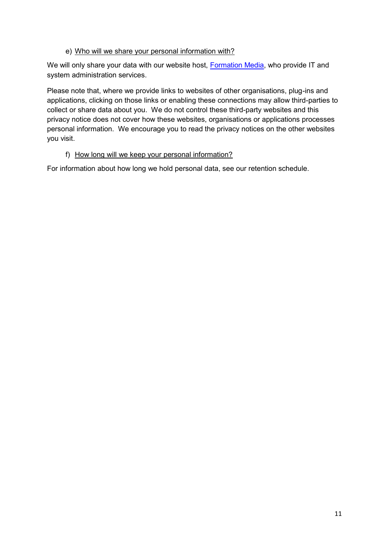## e) Who will we share your personal information with?

We will only share your data with our website host, [Formation Media,](https://formationmedia.co.uk/) who provide IT and system administration services.

Please note that, where we provide links to websites of other organisations, plug-ins and applications, clicking on those links or enabling these connections may allow third-parties to collect or share data about you. We do not control these third-party websites and this privacy notice does not cover how these websites, organisations or applications processes personal information. We encourage you to read the privacy notices on the other websites you visit.

#### f) How long will we keep your personal information?

For information about how long we hold personal data, see our retention schedule.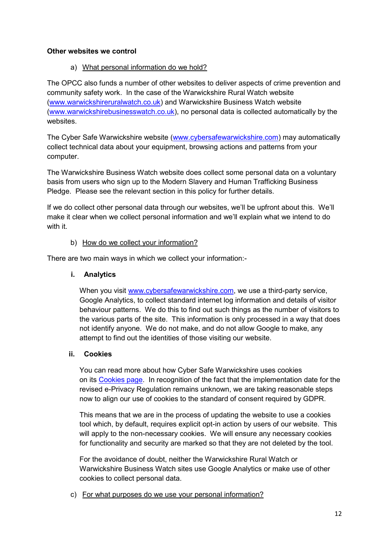## **Other websites we control**

a) What personal information do we hold?

The OPCC also funds a number of other websites to deliver aspects of crime prevention and community safety work. In the case of the Warwickshire Rural Watch website [\(www.warwickshireruralwatch.co.uk\)](http://www.warwickshireruralwatch.co.uk/) and Warwickshire Business Watch website [\(www.warwickshirebusinesswatch.co.uk\)](http://www.warwickshirebusinesswatch.co.uk/), no personal data is collected automatically by the websites.

The Cyber Safe Warwickshire website [\(www.cybersafewarwickshire.com\)](http://www.cybersafewarwickshire.com/) may automatically collect technical data about your equipment, browsing actions and patterns from your computer.

The Warwickshire Business Watch website does collect some personal data on a voluntary basis from users who sign up to the Modern Slavery and Human Trafficking Business Pledge. Please see the relevant section in this policy for further details.

If we do collect other personal data through our websites, we'll be upfront about this. We'll make it clear when we collect personal information and we'll explain what we intend to do with it.

# b) How do we collect your information?

There are two main ways in which we collect your information:-

# **i. Analytics**

When you visit [www.cybersafewarwickshire.com,](http://www.cybersafewarwickshire.com/) we use a third-party service, Google Analytics, to collect standard internet log information and details of visitor behaviour patterns. We do this to find out such things as the number of visitors to the various parts of the site. This information is only processed in a way that does not identify anyone. We do not make, and do not allow Google to make, any attempt to find out the identities of those visiting our website.

## **ii. Cookies**

You can read more about how Cyber Safe Warwickshire uses cookies on its [Cookies page.](https://www.cybersafewarwickshire.com/cookie-policy) In recognition of the fact that the implementation date for the revised e-Privacy Regulation remains unknown, we are taking reasonable steps now to align our use of cookies to the standard of consent required by GDPR.

This means that we are in the process of updating the website to use a cookies tool which, by default, requires explicit opt-in action by users of our website. This will apply to the non-necessary cookies. We will ensure any necessary cookies for functionality and security are marked so that they are not deleted by the tool.

For the avoidance of doubt, neither the Warwickshire Rural Watch or Warwickshire Business Watch sites use Google Analytics or make use of other cookies to collect personal data.

c) For what purposes do we use your personal information?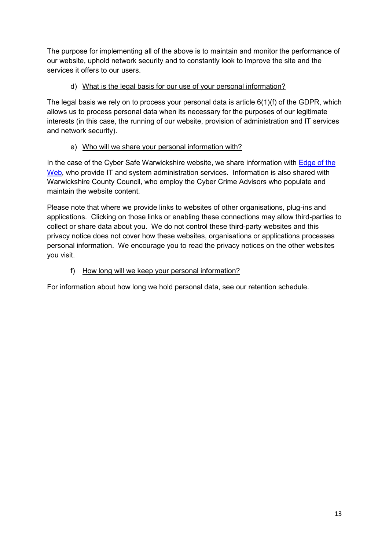The purpose for implementing all of the above is to maintain and monitor the performance of our website, uphold network security and to constantly look to improve the site and the services it offers to our users.

# d) What is the legal basis for our use of your personal information?

The legal basis we rely on to process your personal data is article 6(1)(f) of the GDPR, which allows us to process personal data when its necessary for the purposes of our legitimate interests (in this case, the running of our website, provision of administration and IT services and network security).

# e) Who will we share your personal information with?

In the case of the Cyber Safe Warwickshire website, we share information with [Edge of the](http://www.edgeoftheweb.co.uk/)  [Web,](http://www.edgeoftheweb.co.uk/) who provide IT and system administration services. Information is also shared with Warwickshire County Council, who employ the Cyber Crime Advisors who populate and maintain the website content.

Please note that where we provide links to websites of other organisations, plug-ins and applications. Clicking on those links or enabling these connections may allow third-parties to collect or share data about you. We do not control these third-party websites and this privacy notice does not cover how these websites, organisations or applications processes personal information. We encourage you to read the privacy notices on the other websites you visit.

# f) How long will we keep your personal information?

For information about how long we hold personal data, see our retention schedule.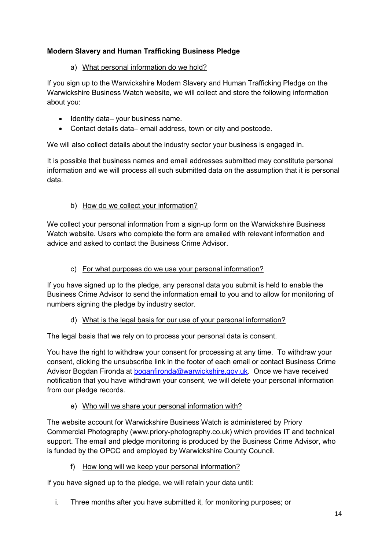# **Modern Slavery and Human Trafficking Business Pledge**

# a) What personal information do we hold?

If you sign up to the Warwickshire Modern Slavery and Human Trafficking Pledge on the Warwickshire Business Watch website, we will collect and store the following information about you:

- Identity data– your business name.
- Contact details data– email address, town or city and postcode.

We will also collect details about the industry sector your business is engaged in.

It is possible that business names and email addresses submitted may constitute personal information and we will process all such submitted data on the assumption that it is personal data.

# b) How do we collect your information?

We collect your personal information from a sign-up form on the Warwickshire Business Watch website. Users who complete the form are emailed with relevant information and advice and asked to contact the Business Crime Advisor.

# c) For what purposes do we use your personal information?

If you have signed up to the pledge, any personal data you submit is held to enable the Business Crime Advisor to send the information email to you and to allow for monitoring of numbers signing the pledge by industry sector.

## d) What is the legal basis for our use of your personal information?

The legal basis that we rely on to process your personal data is consent.

You have the right to withdraw your consent for processing at any time. To withdraw your consent, clicking the unsubscribe link in the footer of each email or contact Business Crime Advisor Bogdan Fironda at [boganfironda@warwickshire.gov.uk.](mailto:boganfironda@warwickshire.gov.uk) Once we have received notification that you have withdrawn your consent, we will delete your personal information from our pledge records.

## e) Who will we share your personal information with?

The website account for Warwickshire Business Watch is administered by Priory Commercial Photography (www.priory-photography.co.uk) which provides IT and technical support. The email and pledge monitoring is produced by the Business Crime Advisor, who is funded by the OPCC and employed by Warwickshire County Council.

f) How long will we keep your personal information?

If you have signed up to the pledge, we will retain your data until:

i. Three months after you have submitted it, for monitoring purposes; or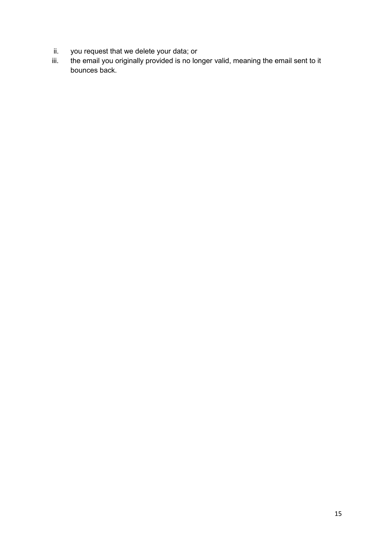- ii. you request that we delete your data; or iii. the email you originally provided is no lor
- the email you originally provided is no longer valid, meaning the email sent to it bounces back.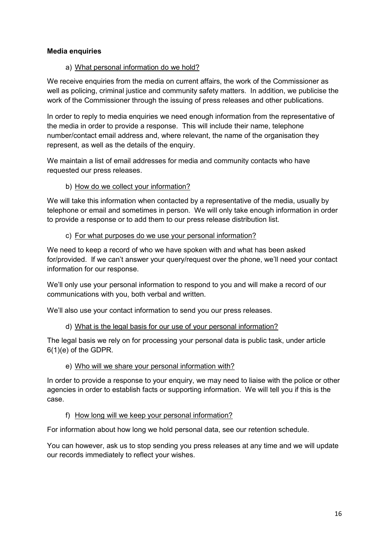## **Media enquiries**

#### a) What personal information do we hold?

We receive enquiries from the media on current affairs, the work of the Commissioner as well as policing, criminal justice and community safety matters. In addition, we publicise the work of the Commissioner through the issuing of press releases and other publications.

In order to reply to media enquiries we need enough information from the representative of the media in order to provide a response. This will include their name, telephone number/contact email address and, where relevant, the name of the organisation they represent, as well as the details of the enquiry.

We maintain a list of email addresses for media and community contacts who have requested our press releases.

#### b) How do we collect your information?

We will take this information when contacted by a representative of the media, usually by telephone or email and sometimes in person. We will only take enough information in order to provide a response or to add them to our press release distribution list.

#### c) For what purposes do we use your personal information?

We need to keep a record of who we have spoken with and what has been asked for/provided. If we can't answer your query/request over the phone, we'll need your contact information for our response.

We'll only use your personal information to respond to you and will make a record of our communications with you, both verbal and written.

We'll also use your contact information to send you our press releases.

#### d) What is the legal basis for our use of your personal information?

The legal basis we rely on for processing your personal data is public task, under article 6(1)(e) of the GDPR.

#### e) Who will we share your personal information with?

In order to provide a response to your enquiry, we may need to liaise with the police or other agencies in order to establish facts or supporting information. We will tell you if this is the case.

#### f) How long will we keep your personal information?

For information about how long we hold personal data, see our retention schedule.

You can however, ask us to stop sending you press releases at any time and we will update our records immediately to reflect your wishes.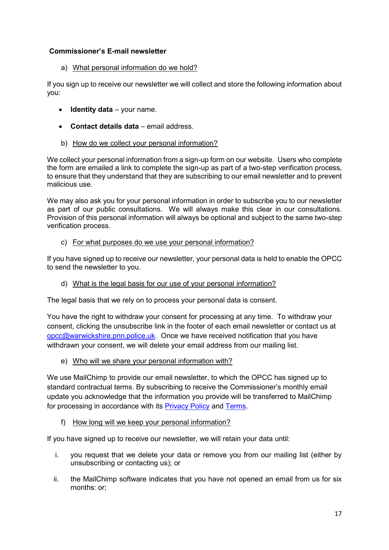## **Commissioner's E-mail newsletter**

a) What personal information do we hold?

If you sign up to receive our newsletter we will collect and store the following information about you:

- **Identity data** your name.
- **Contact details data** email address.
- b) How do we collect your personal information?

We collect your personal information from a sign-up form on our website. Users who complete the form are emailed a link to complete the sign-up as part of a two-step verification process, to ensure that they understand that they are subscribing to our email newsletter and to prevent malicious use.

We may also ask you for your personal information in order to subscribe you to our newsletter as part of our public consultations. We will always make this clear in our consultations. Provision of this personal information will always be optional and subject to the same two-step verification process.

c) For what purposes do we use your personal information?

If you have signed up to receive our newsletter, your personal data is held to enable the OPCC to send the newsletter to you.

d) What is the legal basis for our use of your personal information?

The legal basis that we rely on to process your personal data is consent.

You have the right to withdraw your consent for processing at any time. To withdraw your consent, clicking the unsubscribe link in the footer of each email newsletter or contact us at [opcc@warwickshire.pnn.police.uk.](mailto:opcc@warwickshire.pnn.police.uk) Once we have received notification that you have withdrawn your consent, we will delete your email address from our mailing list.

e) Who will we share your personal information with?

We use MailChimp to provide our email newsletter, to which the OPCC has signed up to standard contractual terms. By subscribing to receive the Commissioner's monthly email update you acknowledge that the information you provide will be transferred to MailChimp for processing in accordance with its [Privacy Policy](https://mailchimp.com/legal/privacy/) and [Terms.](https://mailchimp.com/legal/terms/)

f) How long will we keep your personal information?

If you have signed up to receive our newsletter, we will retain your data until:

- i. you request that we delete your data or remove you from our mailing list (either by unsubscribing or contacting us); or
- ii. the MailChimp software indicates that you have not opened an email from us for six months: or;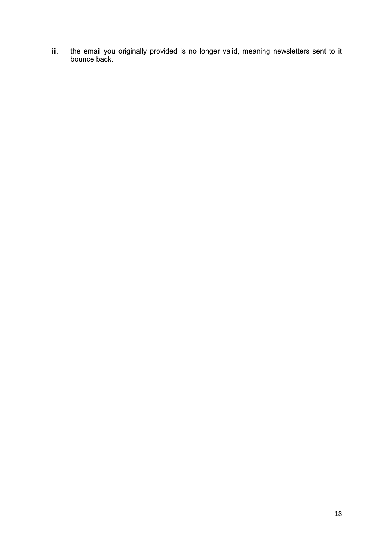iii. the email you originally provided is no longer valid, meaning newsletters sent to it bounce back.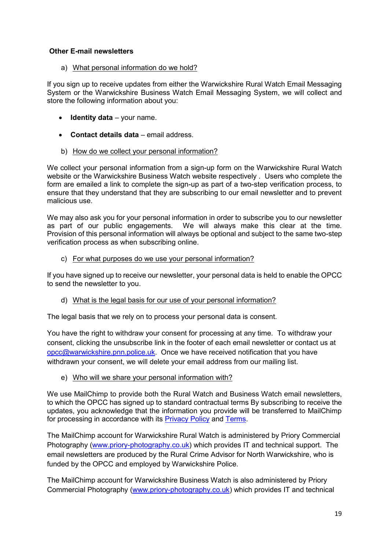## **Other E-mail newsletters**

a) What personal information do we hold?

If you sign up to receive updates from either the Warwickshire Rural Watch Email Messaging System or the Warwickshire Business Watch Email Messaging System, we will collect and store the following information about you:

- **Identity data** your name.
- **Contact details data** email address.
- b) How do we collect your personal information?

We collect your personal information from a sign-up form on the Warwickshire Rural Watch website or the Warwickshire Business Watch website respectively . Users who complete the form are emailed a link to complete the sign-up as part of a two-step verification process, to ensure that they understand that they are subscribing to our email newsletter and to prevent malicious use.

We may also ask you for your personal information in order to subscribe you to our newsletter as part of our public engagements. We will always make this clear at the time. Provision of this personal information will always be optional and subject to the same two-step verification process as when subscribing online.

c) For what purposes do we use your personal information?

If you have signed up to receive our newsletter, your personal data is held to enable the OPCC to send the newsletter to you.

d) What is the legal basis for our use of your personal information?

The legal basis that we rely on to process your personal data is consent.

You have the right to withdraw your consent for processing at any time. To withdraw your consent, clicking the unsubscribe link in the footer of each email newsletter or contact us at [opcc@warwickshire.pnn.police.uk.](mailto:opcc@warwickshire.pnn.police.uk) Once we have received notification that you have withdrawn your consent, we will delete your email address from our mailing list.

e) Who will we share your personal information with?

We use MailChimp to provide both the Rural Watch and Business Watch email newsletters, to which the OPCC has signed up to standard contractual terms By subscribing to receive the updates, you acknowledge that the information you provide will be transferred to MailChimp for processing in accordance with its [Privacy Policy](https://mailchimp.com/legal/privacy/) and [Terms.](https://mailchimp.com/legal/terms/)

The MailChimp account for Warwickshire Rural Watch is administered by Priory Commercial Photography [\(www.priory-photography.co.uk\)](http://www.priory-photography.co.uk/) which provides IT and technical support. The email newsletters are produced by the Rural Crime Advisor for North Warwickshire, who is funded by the OPCC and employed by Warwickshire Police.

The MailChimp account for Warwickshire Business Watch is also administered by Priory Commercial Photography [\(www.priory-photography.co.uk\)](http://www.priory-photography.co.uk/) which provides IT and technical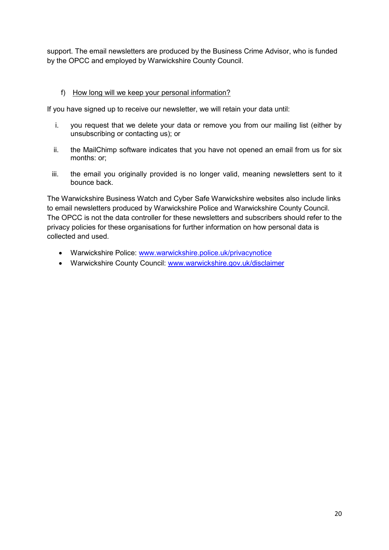support. The email newsletters are produced by the Business Crime Advisor, who is funded by the OPCC and employed by Warwickshire County Council.

#### f) How long will we keep your personal information?

If you have signed up to receive our newsletter, we will retain your data until:

- i. you request that we delete your data or remove you from our mailing list (either by unsubscribing or contacting us); or
- ii. the MailChimp software indicates that you have not opened an email from us for six months: or;
- iii. the email you originally provided is no longer valid, meaning newsletters sent to it bounce back.

The Warwickshire Business Watch and Cyber Safe Warwickshire websites also include links to email newsletters produced by Warwickshire Police and Warwickshire County Council. The OPCC is not the data controller for these newsletters and subscribers should refer to the privacy policies for these organisations for further information on how personal data is collected and used.

- Warwickshire Police: [www.warwickshire.police.uk/privacynotice](http://www.warwickshire.police.uk/privacynotice)
- Warwickshire County Council: [www.warwickshire.gov.uk/disclaimer](http://www.warwickshire.gov.uk/disclaimer)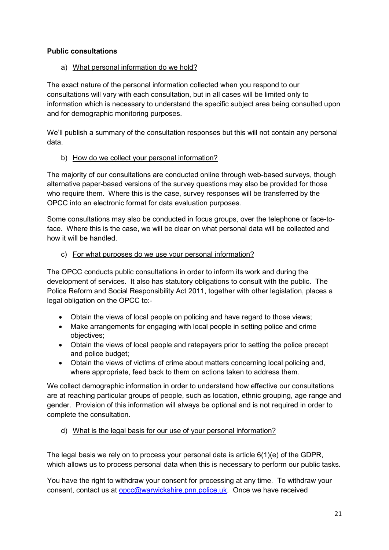# **Public consultations**

## a) What personal information do we hold?

The exact nature of the personal information collected when you respond to our consultations will vary with each consultation, but in all cases will be limited only to information which is necessary to understand the specific subject area being consulted upon and for demographic monitoring purposes.

We'll publish a summary of the consultation responses but this will not contain any personal data.

## b) How do we collect your personal information?

The majority of our consultations are conducted online through web-based surveys, though alternative paper-based versions of the survey questions may also be provided for those who require them. Where this is the case, survey responses will be transferred by the OPCC into an electronic format for data evaluation purposes.

Some consultations may also be conducted in focus groups, over the telephone or face-toface. Where this is the case, we will be clear on what personal data will be collected and how it will be handled.

## c) For what purposes do we use your personal information?

The OPCC conducts public consultations in order to inform its work and during the development of services. It also has statutory obligations to consult with the public. The Police Reform and Social Responsibility Act 2011, together with other legislation, places a legal obligation on the OPCC to:-

- Obtain the views of local people on policing and have regard to those views;
- Make arrangements for engaging with local people in setting police and crime objectives;
- Obtain the views of local people and ratepayers prior to setting the police precept and police budget;
- Obtain the views of victims of crime about matters concerning local policing and, where appropriate, feed back to them on actions taken to address them.

We collect demographic information in order to understand how effective our consultations are at reaching particular groups of people, such as location, ethnic grouping, age range and gender. Provision of this information will always be optional and is not required in order to complete the consultation.

# d) What is the legal basis for our use of your personal information?

The legal basis we rely on to process your personal data is article  $6(1)(e)$  of the GDPR, which allows us to process personal data when this is necessary to perform our public tasks.

You have the right to withdraw your consent for processing at any time. To withdraw your consent, contact us at [opcc@warwickshire.pnn.police.uk.](mailto:opcc@warwickshire.pnn.police.uk) Once we have received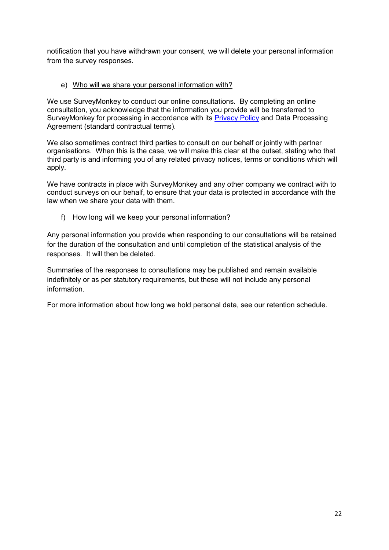notification that you have withdrawn your consent, we will delete your personal information from the survey responses.

#### e) Who will we share your personal information with?

We use SurveyMonkey to conduct our online consultations. By completing an online consultation, you acknowledge that the information you provide will be transferred to SurveyMonkey for processing in accordance with its [Privacy Policy](https://www.surveymonkey.com/mp/legal/privacy-policy/?ut_source=footer) and Data Processing Agreement (standard contractual terms).

We also sometimes contract third parties to consult on our behalf or jointly with partner organisations. When this is the case, we will make this clear at the outset, stating who that third party is and informing you of any related privacy notices, terms or conditions which will apply.

We have contracts in place with SurveyMonkey and any other company we contract with to conduct surveys on our behalf, to ensure that your data is protected in accordance with the law when we share your data with them.

f) How long will we keep your personal information?

Any personal information you provide when responding to our consultations will be retained for the duration of the consultation and until completion of the statistical analysis of the responses. It will then be deleted.

Summaries of the responses to consultations may be published and remain available indefinitely or as per statutory requirements, but these will not include any personal information.

For more information about how long we hold personal data, see our retention schedule.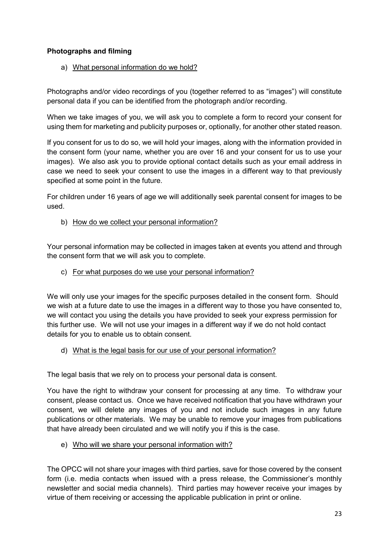# **Photographs and filming**

a) What personal information do we hold?

Photographs and/or video recordings of you (together referred to as "images") will constitute personal data if you can be identified from the photograph and/or recording.

When we take images of you, we will ask you to complete a form to record your consent for using them for marketing and publicity purposes or, optionally, for another other stated reason.

If you consent for us to do so, we will hold your images, along with the information provided in the consent form (your name, whether you are over 16 and your consent for us to use your images). We also ask you to provide optional contact details such as your email address in case we need to seek your consent to use the images in a different way to that previously specified at some point in the future.

For children under 16 years of age we will additionally seek parental consent for images to be used.

b) How do we collect your personal information?

Your personal information may be collected in images taken at events you attend and through the consent form that we will ask you to complete.

c) For what purposes do we use your personal information?

We will only use your images for the specific purposes detailed in the consent form. Should we wish at a future date to use the images in a different way to those you have consented to, we will contact you using the details you have provided to seek your express permission for this further use. We will not use your images in a different way if we do not hold contact details for you to enable us to obtain consent.

d) What is the legal basis for our use of your personal information?

The legal basis that we rely on to process your personal data is consent.

You have the right to withdraw your consent for processing at any time. To withdraw your consent, please contact us. Once we have received notification that you have withdrawn your consent, we will delete any images of you and not include such images in any future publications or other materials. We may be unable to remove your images from publications that have already been circulated and we will notify you if this is the case.

e) Who will we share your personal information with?

The OPCC will not share your images with third parties, save for those covered by the consent form (i.e. media contacts when issued with a press release, the Commissioner's monthly newsletter and social media channels). Third parties may however receive your images by virtue of them receiving or accessing the applicable publication in print or online.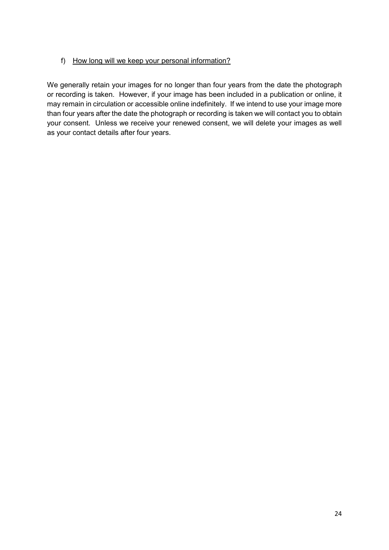## f) How long will we keep your personal information?

We generally retain your images for no longer than four years from the date the photograph or recording is taken. However, if your image has been included in a publication or online, it may remain in circulation or accessible online indefinitely. If we intend to use your image more than four years after the date the photograph or recording is taken we will contact you to obtain your consent. Unless we receive your renewed consent, we will delete your images as well as your contact details after four years.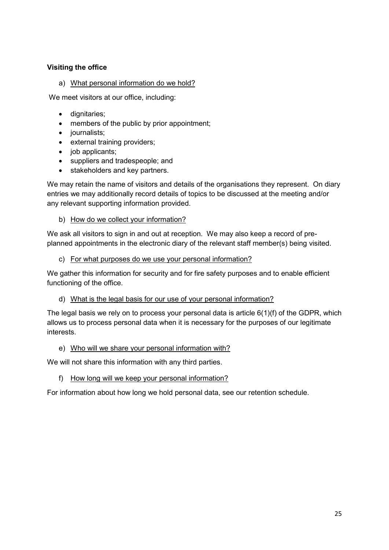## **Visiting the office**

## a) What personal information do we hold?

We meet visitors at our office, including:

- dignitaries;
- members of the public by prior appointment;
- journalists;
- external training providers:
- $\bullet$  job applicants;
- suppliers and tradespeople; and
- stakeholders and key partners.

We may retain the name of visitors and details of the organisations they represent. On diary entries we may additionally record details of topics to be discussed at the meeting and/or any relevant supporting information provided.

## b) How do we collect your information?

We ask all visitors to sign in and out at reception. We may also keep a record of preplanned appointments in the electronic diary of the relevant staff member(s) being visited.

#### c) For what purposes do we use your personal information?

We gather this information for security and for fire safety purposes and to enable efficient functioning of the office.

## d) What is the legal basis for our use of your personal information?

The legal basis we rely on to process your personal data is article 6(1)(f) of the GDPR, which allows us to process personal data when it is necessary for the purposes of our legitimate interests.

#### e) Who will we share your personal information with?

We will not share this information with any third parties.

f) How long will we keep your personal information?

For information about how long we hold personal data, see our retention schedule.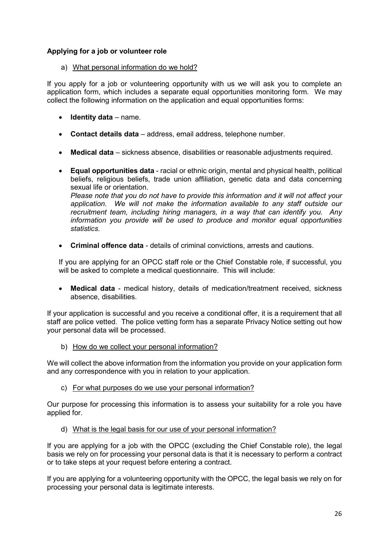## **Applying for a job or volunteer role**

a) What personal information do we hold?

If you apply for a job or volunteering opportunity with us we will ask you to complete an application form, which includes a separate equal opportunities monitoring form. We may collect the following information on the application and equal opportunities forms:

- **Identity data**  name.
- **Contact details data** address, email address, telephone number.
- **Medical data** sickness absence, disabilities or reasonable adjustments required.
- **Equal opportunities data** racial or ethnic origin, mental and physical health, political beliefs, religious beliefs, trade union affiliation, genetic data and data concerning sexual life or orientation.

*Please note that you do not have to provide this information and it will not affect your application. We will not make the information available to any staff outside our recruitment team, including hiring managers, in a way that can identify you. Any information you provide will be used to produce and monitor equal opportunities statistics.*

**Criminal offence data** - details of criminal convictions, arrests and cautions.

If you are applying for an OPCC staff role or the Chief Constable role, if successful, you will be asked to complete a medical questionnaire. This will include:

 **Medical data** - medical history, details of medication/treatment received, sickness absence, disabilities.

If your application is successful and you receive a conditional offer, it is a requirement that all staff are police vetted. The police vetting form has a separate Privacy Notice setting out how your personal data will be processed.

b) How do we collect your personal information?

We will collect the above information from the information you provide on your application form and any correspondence with you in relation to your application.

c) For what purposes do we use your personal information?

Our purpose for processing this information is to assess your suitability for a role you have applied for.

d) What is the legal basis for our use of your personal information?

If you are applying for a job with the OPCC (excluding the Chief Constable role), the legal basis we rely on for processing your personal data is that it is necessary to perform a contract or to take steps at your request before entering a contract.

If you are applying for a volunteering opportunity with the OPCC, the legal basis we rely on for processing your personal data is legitimate interests.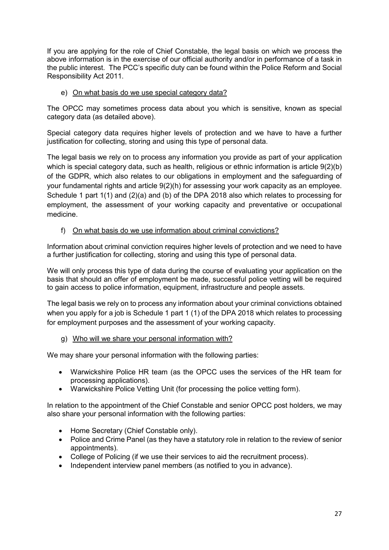If you are applying for the role of Chief Constable, the legal basis on which we process the above information is in the exercise of our official authority and/or in performance of a task in the public interest. The PCC's specific duty can be found within the Police Reform and Social Responsibility Act 2011.

#### e) On what basis do we use special category data?

The OPCC may sometimes process data about you which is sensitive, known as special category data (as detailed above).

Special category data requires higher levels of protection and we have to have a further justification for collecting, storing and using this type of personal data.

The legal basis we rely on to process any information you provide as part of your application which is special category data, such as health, religious or ethnic information is article 9(2)(b) of the GDPR, which also relates to our obligations in employment and the safeguarding of your fundamental rights and article 9(2)(h) for assessing your work capacity as an employee. Schedule 1 part 1(1) and (2)(a) and (b) of the DPA 2018 also which relates to processing for employment, the assessment of your working capacity and preventative or occupational medicine.

## f) On what basis do we use information about criminal convictions?

Information about criminal conviction requires higher levels of protection and we need to have a further justification for collecting, storing and using this type of personal data.

We will only process this type of data during the course of evaluating your application on the basis that should an offer of employment be made, successful police vetting will be required to gain access to police information, equipment, infrastructure and people assets.

The legal basis we rely on to process any information about your criminal convictions obtained when you apply for a job is Schedule 1 part 1 (1) of the DPA 2018 which relates to processing for employment purposes and the assessment of your working capacity.

#### g) Who will we share your personal information with?

We may share your personal information with the following parties:

- Warwickshire Police HR team (as the OPCC uses the services of the HR team for processing applications).
- Warwickshire Police Vetting Unit (for processing the police vetting form).

In relation to the appointment of the Chief Constable and senior OPCC post holders, we may also share your personal information with the following parties:

- Home Secretary (Chief Constable only).
- Police and Crime Panel (as they have a statutory role in relation to the review of senior appointments).
- College of Policing (if we use their services to aid the recruitment process).
- Independent interview panel members (as notified to you in advance).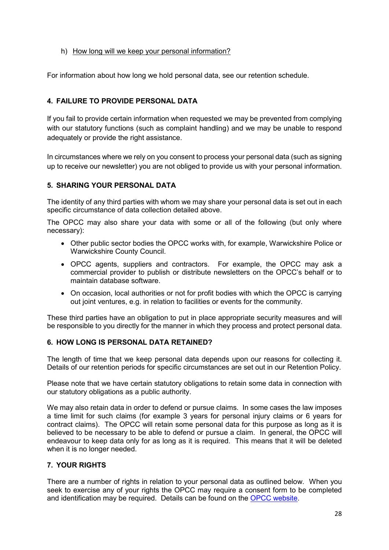#### h) How long will we keep your personal information?

For information about how long we hold personal data, see our retention schedule.

## **4. FAILURE TO PROVIDE PERSONAL DATA**

If you fail to provide certain information when requested we may be prevented from complying with our statutory functions (such as complaint handling) and we may be unable to respond adequately or provide the right assistance.

In circumstances where we rely on you consent to process your personal data (such as signing up to receive our newsletter) you are not obliged to provide us with your personal information.

## **5. SHARING YOUR PERSONAL DATA**

The identity of any third parties with whom we may share your personal data is set out in each specific circumstance of data collection detailed above.

The OPCC may also share your data with some or all of the following (but only where necessary):

- Other public sector bodies the OPCC works with, for example, Warwickshire Police or Warwickshire County Council.
- OPCC agents, suppliers and contractors. For example, the OPCC may ask a commercial provider to publish or distribute newsletters on the OPCC's behalf or to maintain database software.
- On occasion, local authorities or not for profit bodies with which the OPCC is carrying out joint ventures, e.g. in relation to facilities or events for the community.

These third parties have an obligation to put in place appropriate security measures and will be responsible to you directly for the manner in which they process and protect personal data.

#### **6. HOW LONG IS PERSONAL DATA RETAINED?**

The length of time that we keep personal data depends upon our reasons for collecting it. Details of our retention periods for specific circumstances are set out in our Retention Policy.

Please note that we have certain statutory obligations to retain some data in connection with our statutory obligations as a public authority.

We may also retain data in order to defend or pursue claims. In some cases the law imposes a time limit for such claims (for example 3 years for personal injury claims or 6 years for contract claims). The OPCC will retain some personal data for this purpose as long as it is believed to be necessary to be able to defend or pursue a claim. In general, the OPCC will endeavour to keep data only for as long as it is required. This means that it will be deleted when it is no longer needed.

## **7. YOUR RIGHTS**

There are a number of rights in relation to your personal data as outlined below. When you seek to exercise any of your rights the OPCC may require a consent form to be completed and identification may be required. Details can be found on the [OPCC website.](https://www.warwickshire-pcc.gov.uk/)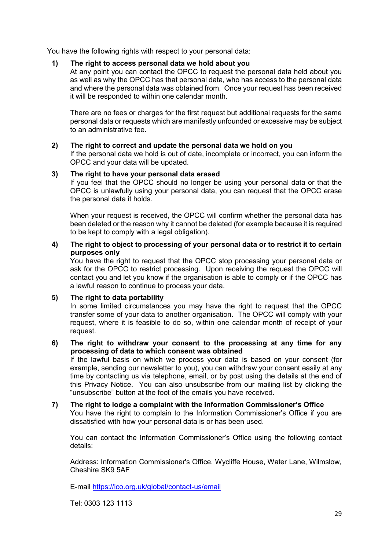You have the following rights with respect to your personal data:

#### **1) The right to access personal data we hold about you**

At any point you can contact the OPCC to request the personal data held about you as well as why the OPCC has that personal data, who has access to the personal data and where the personal data was obtained from. Once your request has been received it will be responded to within one calendar month.

There are no fees or charges for the first request but additional requests for the same personal data or requests which are manifestly unfounded or excessive may be subject to an administrative fee.

#### **2) The right to correct and update the personal data we hold on you**

If the personal data we hold is out of date, incomplete or incorrect, you can inform the OPCC and your data will be updated.

#### **3) The right to have your personal data erased**

If you feel that the OPCC should no longer be using your personal data or that the OPCC is unlawfully using your personal data, you can request that the OPCC erase the personal data it holds.

When your request is received, the OPCC will confirm whether the personal data has been deleted or the reason why it cannot be deleted (for example because it is required to be kept to comply with a legal obligation).

#### **4) The right to object to processing of your personal data or to restrict it to certain purposes only**

You have the right to request that the OPCC stop processing your personal data or ask for the OPCC to restrict processing. Upon receiving the request the OPCC will contact you and let you know if the organisation is able to comply or if the OPCC has a lawful reason to continue to process your data.

#### **5) The right to data portability**

In some limited circumstances you may have the right to request that the OPCC transfer some of your data to another organisation. The OPCC will comply with your request, where it is feasible to do so, within one calendar month of receipt of your request.

#### **6) The right to withdraw your consent to the processing at any time for any processing of data to which consent was obtained**

If the lawful basis on which we process your data is based on your consent (for example, sending our newsletter to you), you can withdraw your consent easily at any time by contacting us via telephone, email, or by post using the details at the end of this Privacy Notice. You can also unsubscribe from our mailing list by clicking the "unsubscribe" button at the foot of the emails you have received.

# **7) The right to lodge a complaint with the Information Commissioner's Office**

You have the right to complain to the Information Commissioner's Office if you are dissatisfied with how your personal data is or has been used.

You can contact the Information Commissioner's Office using the following contact details:

Address: Information Commissioner's Office, Wycliffe House, Water Lane, Wilmslow, Cheshire SK9 5AF

E-mail<https://ico.org.uk/global/contact-us/email>

Tel: 0303 123 1113